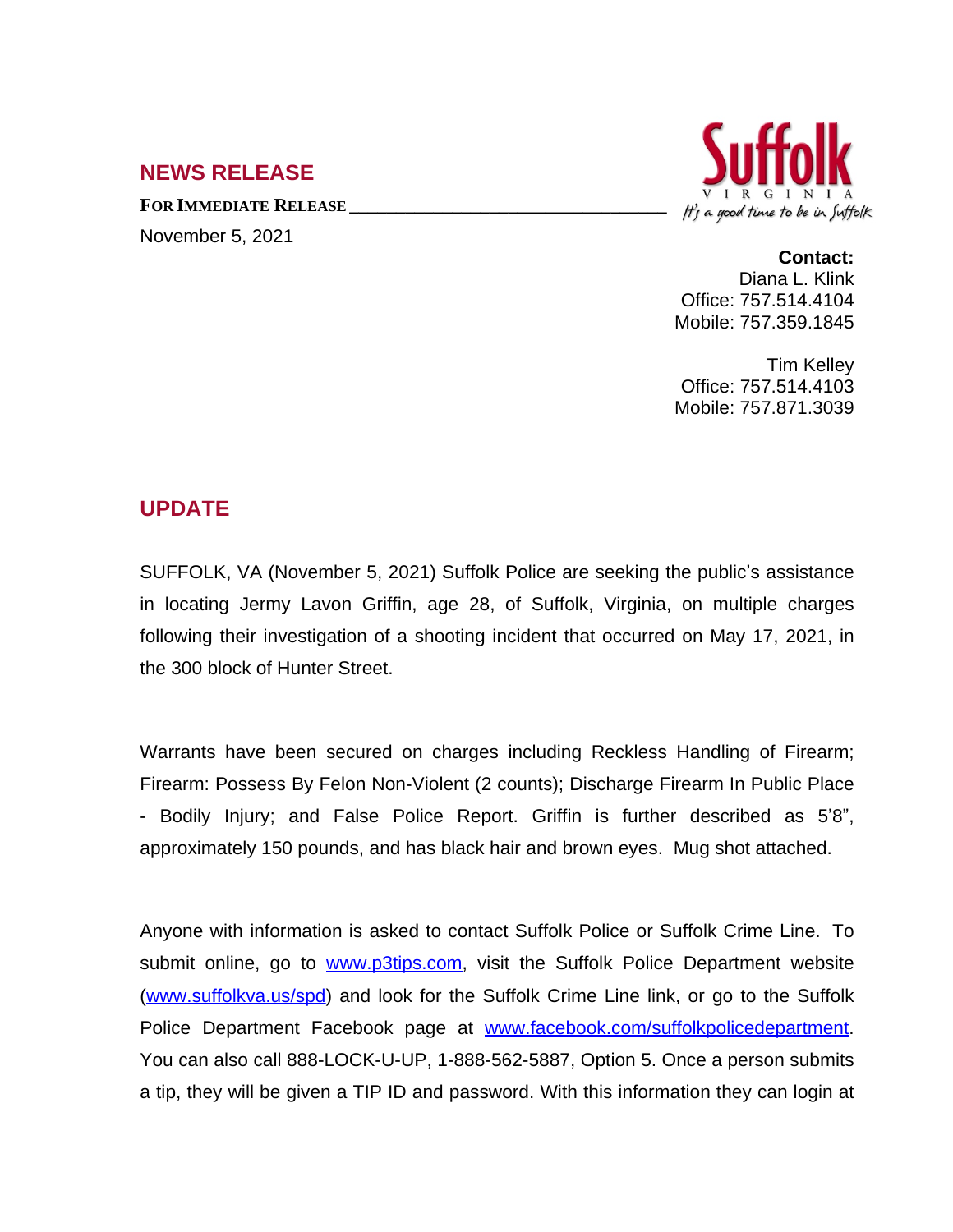# **NEWS RELEASE**

**FOR IMMEDIATE RELEASE \_\_\_\_\_\_\_\_\_\_\_\_\_\_\_\_\_\_\_\_\_\_\_\_\_\_\_\_\_\_\_\_\_\_**

November 5, 2021



#### **Contact:**

Diana L. Klink Office: 757.514.4104 Mobile: 757.359.1845

Tim Kelley Office: 757.514.4103 Mobile: 757.871.3039

## **UPDATE**

SUFFOLK, VA (November 5, 2021) Suffolk Police are seeking the public's assistance in locating Jermy Lavon Griffin, age 28, of Suffolk, Virginia, on multiple charges following their investigation of a shooting incident that occurred on May 17, 2021, in the 300 block of Hunter Street.

Warrants have been secured on charges including Reckless Handling of Firearm; Firearm: Possess By Felon Non-Violent (2 counts); Discharge Firearm In Public Place - Bodily Injury; and False Police Report. Griffin is further described as 5'8", approximately 150 pounds, and has black hair and brown eyes. Mug shot attached.

Anyone with information is asked to contact Suffolk Police or Suffolk Crime Line. To submit online, go to [www.p3tips.com](http://www.p3tips.com), visit the Suffolk Police Department website ([www.suffolkva.us/spd](http://www.suffolkva.us/spd)) and look for the Suffolk Crime Line link, or go to the Suffolk Police Department Facebook page at [www.facebook.com/suffolkpolicedepartment.](http://www.facebook.com/suffolkpolicedepartment) You can also call 888-LOCK-U-UP, 1-888-562-5887, Option 5. Once a person submits a tip, they will be given a TIP ID and password. With this information they can login at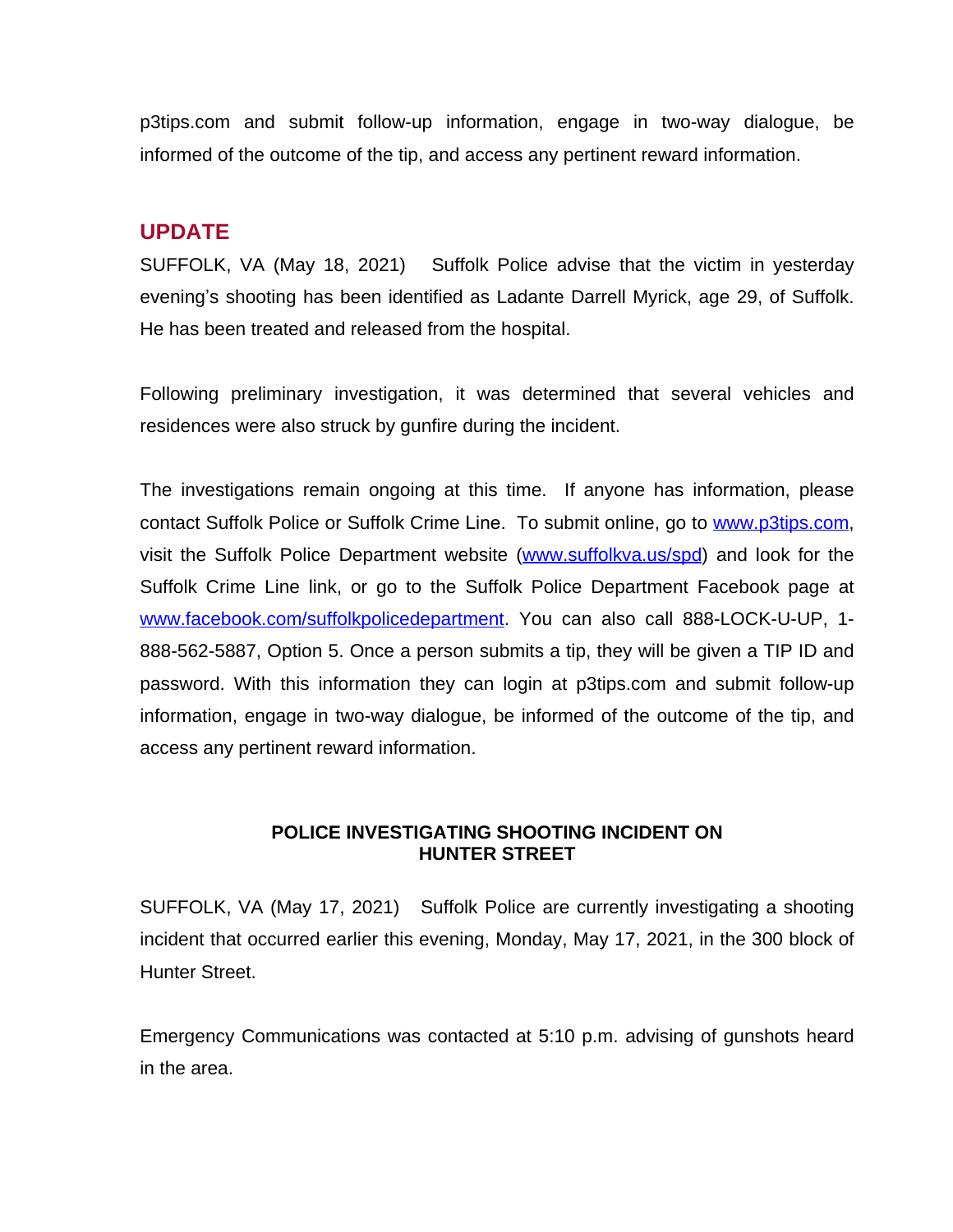p3tips.com and submit follow-up information, engage in two-way dialogue, be informed of the outcome of the tip, and access any pertinent reward information.

### **UPDATE**

SUFFOLK, VA (May 18, 2021) Suffolk Police advise that the victim in yesterday evening's shooting has been identified as Ladante Darrell Myrick, age 29, of Suffolk. He has been treated and released from the hospital.

Following preliminary investigation, it was determined that several vehicles and residences were also struck by gunfire during the incident.

The investigations remain ongoing at this time. If anyone has information, please contact Suffolk Police or Suffolk Crime Line. To submit online, go to [www.p3tips.com,](http://www.p3tips.com) visit the Suffolk Police Department website ([www.suffolkva.us/spd](http://www.suffolkva.us/spd)) and look for the Suffolk Crime Line link, or go to the Suffolk Police Department Facebook page at [www.facebook.com/suffolkpolicedepartment](http://www.facebook.com/suffolkpolicedepartment). You can also call 888-LOCK-U-UP, 1- 888-562-5887, Option 5. Once a person submits a tip, they will be given a TIP ID and password. With this information they can login at p3tips.com and submit follow-up information, engage in two-way dialogue, be informed of the outcome of the tip, and access any pertinent reward information.

#### **POLICE INVESTIGATING SHOOTING INCIDENT ON HUNTER STREET**

SUFFOLK, VA (May 17, 2021) Suffolk Police are currently investigating a shooting incident that occurred earlier this evening, Monday, May 17, 2021, in the 300 block of Hunter Street.

Emergency Communications was contacted at 5:10 p.m. advising of gunshots heard in the area.